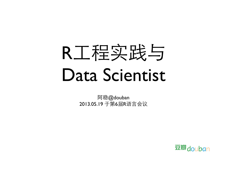

阿稳@douban 2013.05.19 于第6届R语言会议

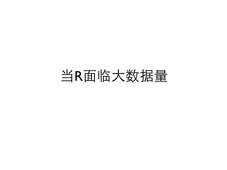## 当R面临大数据量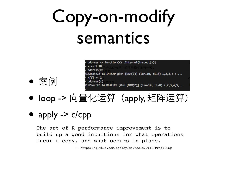# Copy-on-modify semantics

- address <- function(x) .Internal(inspect(x))  $x \leftarrow 1:10$  $address(x)$ 102b83e28 13 INTSXP g0c4 [NAM(2)] (len=10, tl=0) 1,2,3,4,5,...  $x[1] \leftarrow 2$  $address(x)$ 029acff0 14 REALSXP g0c6 [NAM(2)] (len=10, tl=0) 2,2,3,4,5,...
- loop -> 向量化运算 (apply, 矩阵运算)

#### • apply  $\rightarrow$  c/cpp

• 案例

The art of R performance improvement is to build up a good intuitions for what operations incur a copy, and what occurs in place.

--<https://github.com/hadley/devtools/wiki/Profiling>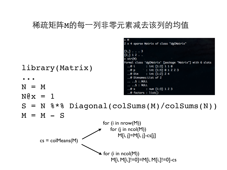#### 稀疏矩阵M的每⼀列非零元素减去该列的均值

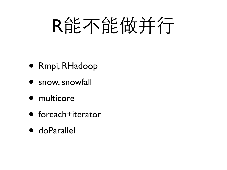# R能不能做并行

- Rmpi, RHadoop
- snow, snowfall
- multicore
- foreach+iterator
- doParallel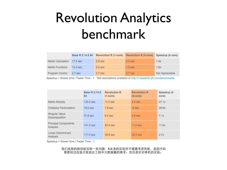# Revolution Analytics benchmark

|                           |                     | Base R 2.14.2 64 Revolution R (1-core) | Revolution R (4-core) Speedup (4 core) |                 |
|---------------------------|---------------------|----------------------------------------|----------------------------------------|-----------------|
| <b>Matrix Calculation</b> | 17.4 sec            | 2.9 <sub>sec</sub>                     | 2.0 <sub>sec</sub>                     | 7.9x            |
| <b>Matrix Functions</b>   | 10.3 <sub>sec</sub> | 2.0 <sub>sec</sub>                     | 1.2 <sub>sec</sub>                     | 7.8x            |
| Program Control           | 2.7 sec             | 2.7 <sub>sec</sub>                     | 2.7 <sub>sec</sub>                     | Not Appreciable |

Speedup = Slower time / Faster Time - 1 Test descriptions available at http://r.research.att.com/benchmarks

|                                         | Base R 2.14.2<br>64 | <b>Revolution R</b><br>$(1$ -core $)$ | <b>Revolution R</b><br>$(4$ -core $)$ | Speedup (4<br>core) |
|-----------------------------------------|---------------------|---------------------------------------|---------------------------------------|---------------------|
| <b>Matrix Multiply</b>                  | 124.4 sec           | 11.4 sec                              | $4.4$ sec                             | 27.1x               |
| Cholesky Factorization                  | 18.0 sec            | 1.8 <sub>sec</sub>                    | .6 <sub>sec</sub>                     | 29.8x               |
| Singular Value<br>Decomposition         | 37.8 sec            | 8.4 <sub>sec</sub>                    | 4.6 <sub>sec</sub>                    | 7.1x                |
| <b>Principal Components</b><br>Analysis | 141.2 sec           | 22.4 sec                              | 11.0 <sub>sec</sub>                   | 11.9x               |
| <b>Linear Discriminant</b><br>Analysis  | 117.0 sec           | 39.8 sec                              | 32.0 sec                              | 2.7x                |

Speedup = Slower time / Faster Time - 1

他们选择的路径能说明一些问题: R本身的实现并不着重考虑性能, 底层代码 需要经过改造才能适应工程中大数据量的需求。而且是针对单机的实验。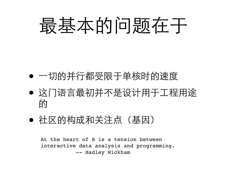# 最基本的问题在于

- 一切的并行都受限于单核时的速度
- 这门语言最初并不是设计用于工程用途 的
- 社区的构成和关注点(基因)

At the heart of R is a tension between interactive data analysis and programming. -- Hadley Wickham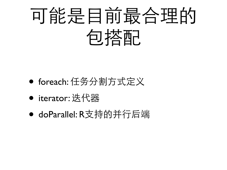

- foreach: 任务分割方式定义
- iterator: 迭代器
- doParallel: R支持的并行后端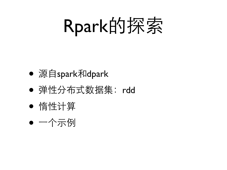Rpark的探索

- 源自spark和dpark
- 弹性分布式数据集:rdd
- 惰性计算
- 一个示例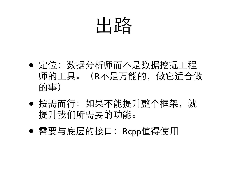

- 定位:数据分析师而不是数据挖掘工程 师的工具。(R不是万能的,做它适合做 的事)
- 按需而行:如果不能提升整个框架,就 提升我们所需要的功能。
- 需要与底层的接口:Rcpp值得使用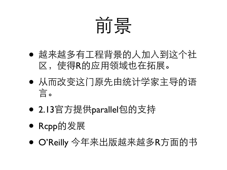# 前景

- 越来越多有工程背景的人加入到这个社 区,使得R的应用领域也在拓展。
- 从而改变这门原先由统计学家主导的语 言。
- 2.13官方提供parallel包的支持
- Rcpp的发展
- O'Reilly 今年来出版越来越多R方面的书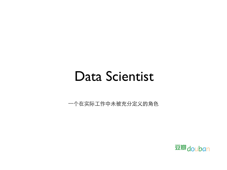### Data Scientist

⼀个在实际工作中未被充分定义的角色

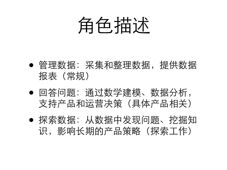

- 管理数据:采集和整理数据,提供数据 报表(常规)
- 回答问题:通过数学建模、数据分析, 支持产品和运营决策(具体产品相关)
- 探索数据:从数据中发现问题、挖掘知 识,影响长期的产品策略(探索工作)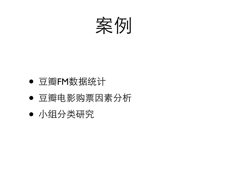

- 豆瓣FM数据统计
- 豆瓣电影购票因素分析
- 小组分类研究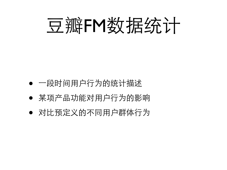

- 一段时间用户行为的统计描述
- 某项产品功能对用户行为的影响
- 对比预定义的不同用户群体行为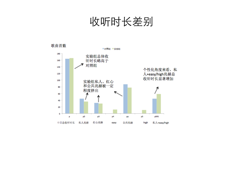收听时长差别

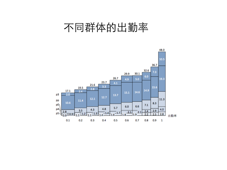### 不同群体的出勤率

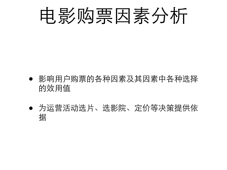

- 影响用户购票的各种因素及其因素中各种选择 的效用值
- 为运营活动选片、选影院、定价等决策提供依 据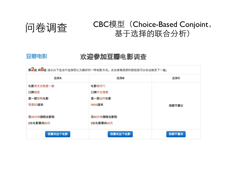#### 问卷调查 CBC模型(Choice-Based Conjoint, 基于选择的联合分析)

#### 豆瓣电影

#### 欢迎参加豆瓣电影调查

第2题 共8题 请从以下选项中选择您认为最好的一种观影方式。点击表格底部的按钮就可以自动换至下一题。

| 选择A        | 选择B        | 选择C   |
|------------|------------|-------|
| 电影受关注程度一般  | 电影很冷门      |       |
| 口碑很差       | 口碑不太清楚     |       |
| 是一部恐怖电影    | 是一部动作电影    |       |
| 普通2D版本     | IMAX版本     | 我都不喜欢 |
|            |            |       |
| 花45分钟路程去影院 | 花90分钟路程去影院 |       |
| 2张电影票共80元  | 2张电影票共40元  |       |
|            |            |       |
| 我喜欢这个电影    | 我喜欢这个电影    | 我都不喜欢 |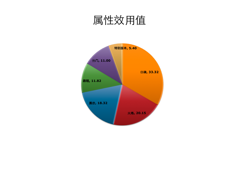### 属性效用值

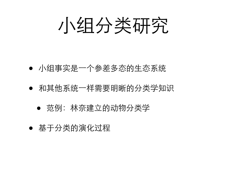小组分类研究

#### ● 小组事实是一个参差多态的生态系统

- 和其他系统一样需要明晰的分类学知识
	- 范例:林奈建立的动物分类学
- 基于分类的演化过程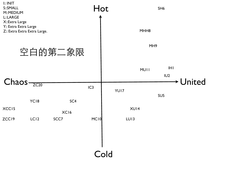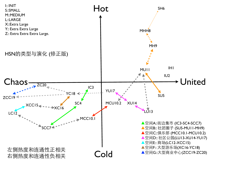